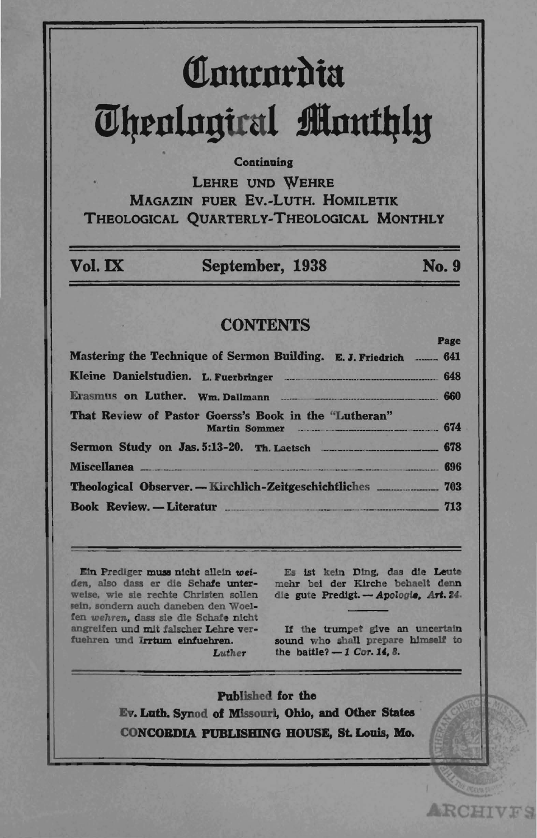# Courordia **Theological Monthly**

#### Continuing

**LEHRE UND WEHRE MAGAZIN FUER EV.-LUTH, HOMILETIK** THEOLOGICAL QUARTERLY-THEOLOGICAL MONTHLY

| Vol. IX | September, 1938 | <b>No. 9</b> |
|---------|-----------------|--------------|

### **CONTENTS**

|                                                                            | такс |
|----------------------------------------------------------------------------|------|
| Mastering the Technique of Sermon Building. E. J. Friedrich _____ 641      |      |
|                                                                            |      |
|                                                                            |      |
| That Review of Pastor Goerss's Book in the "Lutheran"<br>Martin Sommer 674 |      |
|                                                                            |      |
|                                                                            |      |
|                                                                            |      |
| Book Review. -- Literatur 713                                              |      |
|                                                                            |      |

Ein Prediger muss nicht allein weiden, also dass er die Schafe unterweise, wie sie rechte Christen sollen sein, sondern auch daneben den Woelfen wehren, dass sie die Schafe nicht angreifen und mit falscher Lehre verfuehren und Irrtum einfuehren. Luther

Es ist kein Ding, das die Leute mehr bei der Kirche behaelt denn die gute Predigt. - Apologie, Art. 24.

If the trumpet give an uncertain sound who shall prepare himself to the battle?  $-1$  Cor. 14, 8.

**ARCHIVES** 

Published for the Ev. Luth. Synod of Missouri, Ohio, and Other States CONCORDIA PUBLISHING HOUSE, St. Louis, Mo.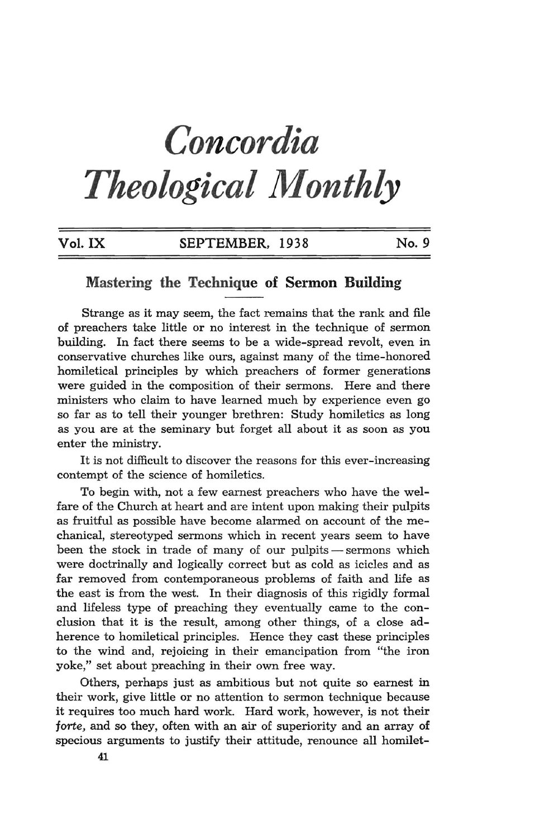## *Concordia Theological Monthly*

| Vol. IX | SEPTEMBER, 1938 | No. 9 |
|---------|-----------------|-------|
|         |                 |       |

## **Mastering the Technique of Sermon Building**

Strange as it may seem, the fact remains that the rank and file of preachers take little or no interest in the technique of sermon building. In fact there seems to be a wide-spread revolt, even in conservative churches like ours, against many of the time-honored homiletical principles by which preachers of former generations were guided in the composition of their sermons. Here and there ministers who claim to have learned much by experience even go so far as to tell their younger brethren: Study homiletics as long as you are at the seminary but forget all about it as soon as you enter the ministry.

It is not difficult to discover the reasons for this ever-increasing contempt of the science of homiletics.

To begin with, not a few earnest preachers who have the welfare of the Church at heart and are intent upon making their pulpits as fruitful as possible have become alarmed on account of the mechanical, stereotyped sermons which in recent years seem to have been the stock in trade of many of our pulpits - sermons which were doctrinally and logically correct but as cold as icicles and as far removed from contemporaneous problems of faith and life as the east is from the west. In their diagnosis of this rigidly formal and lifeless type of preaching they eventually came to the conclusion that it is the result, among other things, of a close adherence to homiletical principles. Hence they cast these principles to the wind and, rejoicing in their emancipation from "the iron yoke," set about preaching in their own free way.

Others, perhaps just as ambitious but not quite so earnest in their work, give little or no attention to sermon technique because it requires too much hard work. Hard work, however, is not their *jorte,* and so they, often with an air of superiority and an array of specious arguments to justify their attitude, renounce all homilet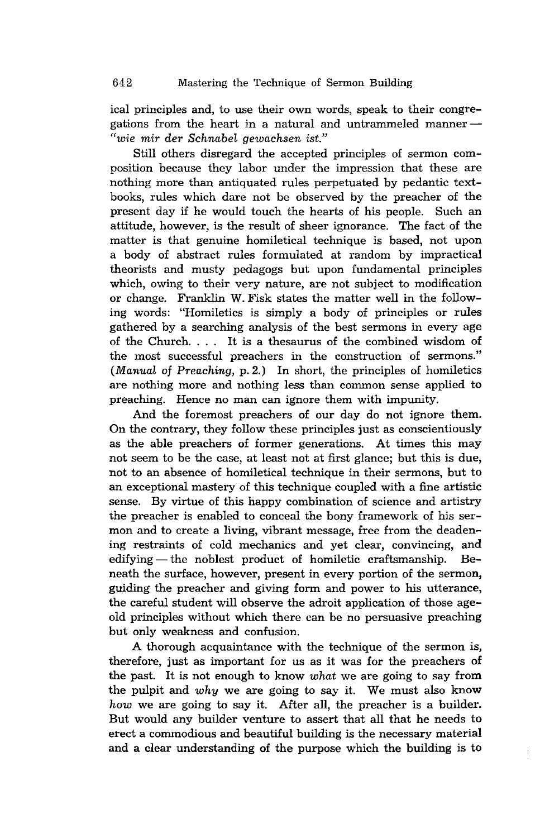ical principles and, to use their own words, speak to their congregations from the heart in a natural and untrammeled manner $-$ *"wie mir der Schnabel gewachsen ist."* 

Still others disregard the accepted principles of sermon composition because they labor under the impression that these are nothing more than antiquated rules perpetuated by pedantic textbooks, rules which dare not be observed by the preacher of the present day if he would touch the hearts of his people. Such an attitude, however, is the result of sheer ignorance. The fact of the matter is that genuine homiletical technique is based, not upon a body of abstract rules formulated at random by impractical theorists and musty pedagogs but upon fundamental principles which, owing to their very nature, are not subject to modification or change. Franklin W. Fisk states the matter well in the following words: "Homiletics is simply a body of principles or rules gathered by a searching analysis of the best sermons in every age of the Church. . .. It is a thesaurus of the combined wisdom of the most successful preachers in the construction of sermons." *(Manual* of *Preaching,* p.2.) In short, the principles of homiletics are nothing more and nothing less than common sense applied to preaching. Hence no man can ignore them with impunity.

And the foremost preachers of our day do not ignore them. On the contrary, they follow these principles just as conscientiously as the able preachers of former generations. At times this may not seem to be the case, at least not at first glance; but this is due, not to an absence of homiletical technique in their sermons, but to an exceptional mastery of this technique coupled with a fine artistic sense. By virtue of this happy combination of science and artistry the preacher is enabled to conceal the bony framework of his sermon and to create a living, vibrant message, free from the deadening restraints of cold mechanics and yet clear, convincing, and edifying — the noblest product of homiletic craftsmanship. Beneath the surface, however, present in every portion of the sermon, guiding the preacher and giving form and power to his utterance, the careful student will observe the adroit application of those ageold principles without which there can be no persuasive preaching but only weakness and confusion.

A thorough acquaintance with the technique of the sermon is, therefore, just as important for us as it was for the preachers of the past. It is not enough to know *what* we are going to say from the pulpit and *why* we are going to say it. We must also know *how* we are going to say it. After all, the preacher is a builder. But would any builder venture to assert that all that he needs to erect a commodious and beautiful building is the necessary material and a clear understanding of the purpose which the building is to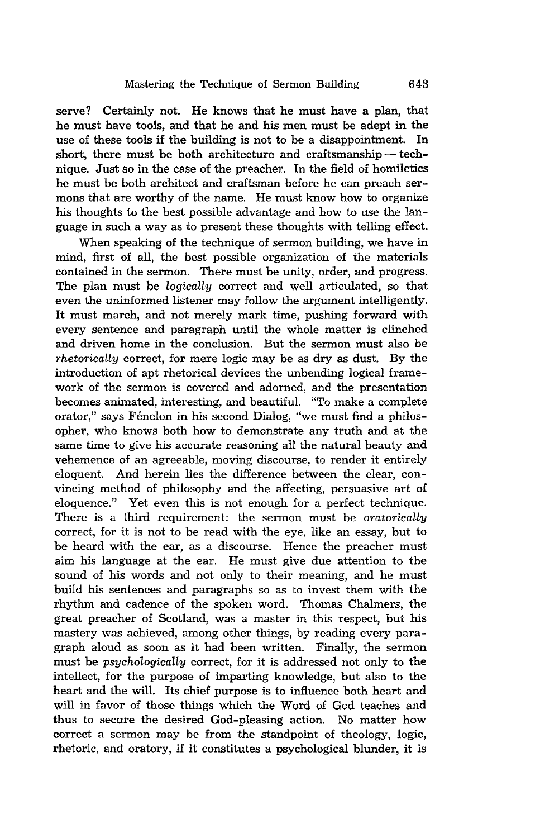serve? Certainly not. He knows that he must have a plan, that he must have tools, and that he and his men must be adept in the use of these tools if the building is not to be a disappointment. In short, there must be both architecture and craftsmanship  $-$  technique. Just so in the case of the preacher. In the field of homiletics he must be both architect and craftsman before he can preach sermons that are worthy of the name. He must know how to organize his thoughts to the best possible advantage and how to use the language in such a way as to present these thoughts with telling effect.

When speaking of the technique of sermon building, we have in mind, first of all, the best possible organization of the materials contained in the sermon. There must be unity, order, and progress. The plan must be *logically* correct and well articulated, so that even the uninformed listener may follow the argument intelligently. It must march, and not merely mark time, pushing forward with every sentence and paragraph until the whole matter is clinched and driven home in the conclusion. But the sermon must also be *rhetorically* correct, for mere logic may be as dry as dust. By the introduction of apt rhetorical devices the unbending logical framework of the sermon is covered and adorned, and the presentation becomes animated, interesting, and beautiful. "To make a complete orator," says Fénelon in his second Dialog, "we must find a philosopher, who knows both how to demonstrate any truth and at the same time to give his accurate reasoning all the natural beauty and vehemence of an agreeable, moving discourse, to render it entirely eloquent. And herein lies the difference between the clear, convincing method of philosophy and the affecting, persuasive art of eloquence." Yet even this is not enough for a perfect technique. There is a third requirement: the sermon must be *oratorically* correct, for it is not to be read with the eye, like an essay, but to be heard with the ear, as a discourse. Hence the preacher must aim his language at the ear. He must give due attention to the sound of his words and not only to their meaning, and he must build his sentences and paragraphs so as to invest them with the rhythm and cadence of the spoken word. Thomas Chalmers, the great preacher of Scotland, was a master in this respect, but his mastery was achieved, among other things, by reading every paragraph aloud as soon as it had been written. Finally, the sermon must be *psychologically* correct, for it is addressed not only to the intellect, for the purpose of imparting knowledge, but also to the heart and the will. Its chief purpose is to influence both heart and will in favor of those things which the Word of God teaches and thus to secure the desired God-pleasing action. No matter how correct a sermon may be from the standpoint of theology, logic, rhetoric, and oratory, if it constitutes a psychological blunder, it is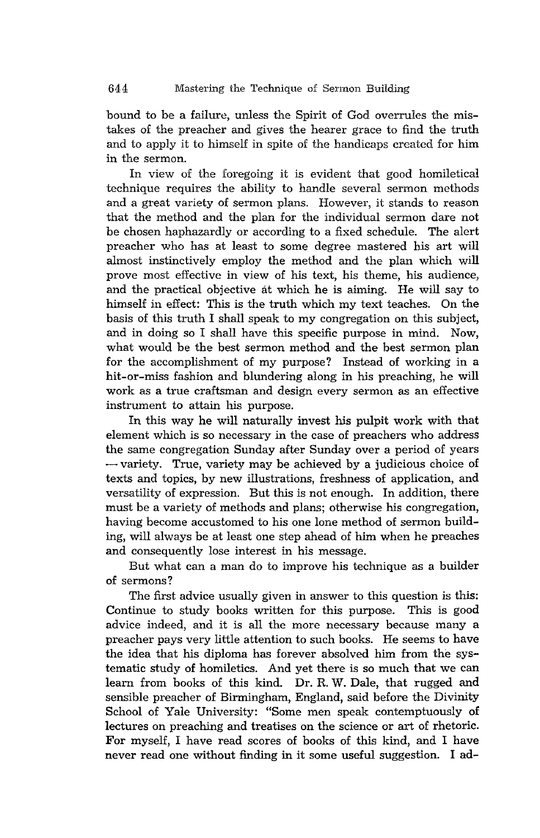bound to be a failure, unless the Spirit of God overrules the mistakes of the preacher and gives the hearer grace to find the truth and to apply it to himself in spite of the handicaps created for him in the sermon.

In view of the foregoing it is evident that good homiletical technique requires the ability to handle several sermon methods and a great variety of sermon plans. However, it stands to reason that the method and the plan for the individual sermon dare not be chosen haphazardly or according to a fixed schedule. The alert preacher who has at least to some degree mastered his art will almost instinctively employ the method and the plan which will prove most effective in view of his text, his theme, his audience, and the practical objective at which he is aiming. He will say to himself in effect: This is the truth which my text teaches. On the basis of this truth I shall speak to my congregation on this subject, and in doing so I shall have this specific purpose in mind. Now, what would be the best sermon method and the best sermon plan for the accomplishment of my purpose? Instead of working in a hit-or-miss fashion and blundering along in his preaching, he will work as a true craftsman and design every sermon as an effective instrument to attain his purpose.

In this way he will naturally invest his pulpit work with that element which is so necessary in the case of preachers who address the same congregation Sunday after Sunday over a period of years  $-$  variety. True, variety may be achieved by a judicious choice of texts and topics, by new illustrations, freshness of application, and versatility of expression. But this is not enough. In addition, there must be a variety of methods and plans; otherwise his congregation, having become accustomed to his one lone method of sermon building, will always be at least one step ahead of him when he preaches and consequently lose interest in his message.

But what can a man do to improve his technique as a builder of sermons?

The first advice usually given in answer to this question is this: Continue to study books written for this purpose. This is good advice indeed, and it is all the more necessary because many a preacher pays very little attention to such books. He seems to have the idea that his diploma has forever absolved him from the systematic study of homiletics. And yet there is so much that we can learn from books of this kind. Dr. R. W. Dale, that rugged and sensible preacher of Birmingham, England, said before the Divinity School of Yale University: "Some men speak contemptuously of lectures on preaching and treatises on the science or art of rhetoric. For myself, I have read scores of books of this kind, and I have never read one without finding in it some useful suggestion. I ad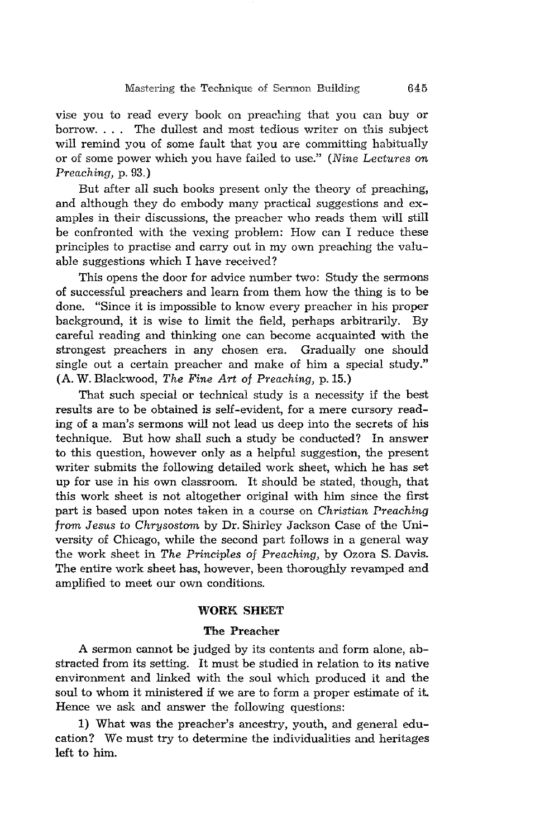vise you to read every book on preaching that you can buy or borrow. . .. The dullest and most tedious writer on this subject will remind you of some fault that you are committing habitually or of some power which you have failed to use." *(Nine Lectures* on *Preaching,* p. 93.)

But after all such books present only the theory of preaching, and although they do embody many practical suggestions and examples in their discussions, the preacher who reads them will still be confronted with the vexing problem: How can I reduce these principles to practise and carry out in my own preaching the valuable suggestions which I have received?

This opens the door for advice number two: Study the sermons of successful preachers and learn from them how the thing is to be done. "Since it is impossible to know every preacher in his proper background, it is wise to limit the field, perhaps arbitrarily. By careful reading and thinking one can become acquainted with the strongest preachers in any chosen era. Gradually one should single out a certain preacher and make of him a special study." (A. W. Blackwood, *The Fine Art* of *Preaching,* p.15.)

That such special or technical study is a necessity if the best results are to be obtained is self-evident, for a mere cursory reading of a man's sermons will not lead us deep into the secrets of his technique. But how shall such a study be conducted? In answer to this question, however only as a helpful suggestion, the present writer submits the following detailed work sheet, which he has set up for use in his own classroom. It should be stated, though, that this work sheet is not altogether original with him since the first part is based upon notes taken in a course on *Christian Preaching from Jesus* to *Chrysostom* by Dr. Shirley Jackson Case of the University of Chicago, while the second part follows in a general way the work sheet in *The Principles of Preaching*, by Ozora S. Davis. The entire work sheet has, however, been thoroughly revamped and amplified to meet our own conditions.

#### **WORK SHEET**

#### The Preacher

A sermon cannot be judged by its contents and form alone, abstracted from its setting. It must be studied in relation to its native environment and linked with the soul which produced it and the soul to whom it ministered if we are to form a proper estimate of it. Hence we ask and answer the following questions:

1) What was the preacher's ancestry, youth, and general education? We must try to determine the individualities and heritages left to him.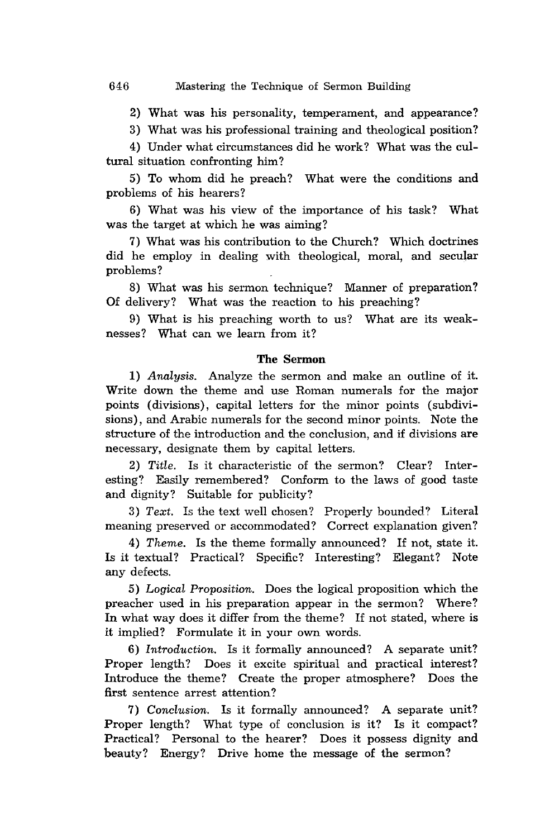2) What was his personality, temperament, and appearance?

3) What was his professional training and theological position?

4) Under what circumstances did he work? What was the cultural situation confronting him?

5) To whom did he preach? What were the conditions and problems of his hearers?

6) What was his view of the importance of his task? What was the target at which he was aiming?

7) What was his contribution to the Church? Which doctrines did he employ in dealing with theological, moral, and secular problems?

8) What was his sermon technique? Manner of preparation? Of delivery? What was the reaction to his preaching?

9) What is his preaching worth to us? What are its weaknesses? What can we learn from it?

#### The Sermon

*1) Analysis.* Analyze the sermon and make an outline of it. Write down the theme and use Roman numerals for the major points (divisions), capital letters for the minor points (subdivisions), and Arabic numerals for the second minor points. Note the structure of the introduction and the conclusion, and if divisions are necessary, designate them by capital letters.

*2) Title.* Is it characteristic of the sermon? Clear? Interesting? Easily remembered? Conform to the laws of good taste and dignity? Suitable for publicity?

3) Text. Is the text well chosen? Properly bounded? Literal meaning preserved or accommodated? Correct explanation given?

4) *Theme.* Is the theme formally announced? If not, state it. Is it textual? Practical? Specific? Interesting? Elegant? Note any defects.

*5) Logical Proposition.* Does the logical proposition which the preacher used in his preparation appear in the sermon? Where? In what way does it differ from the theme? If not stated, where is it implied? Formulate it in your own words.

*6) Introduction.* Is it formally announced? A separate unit? Proper length? Does it excite spiritual and practical interest? Introduce the theme? Create the proper atmosphere? Does the first sentence arrest attention?

*7) Conclusion.* Is it formally announced? A separate unit? Proper length? What type of conclusion is it? Is it compact? Practical? Personal to the hearer? Does it possess dignity and beauty? Energy? Drive home the message of the sermon?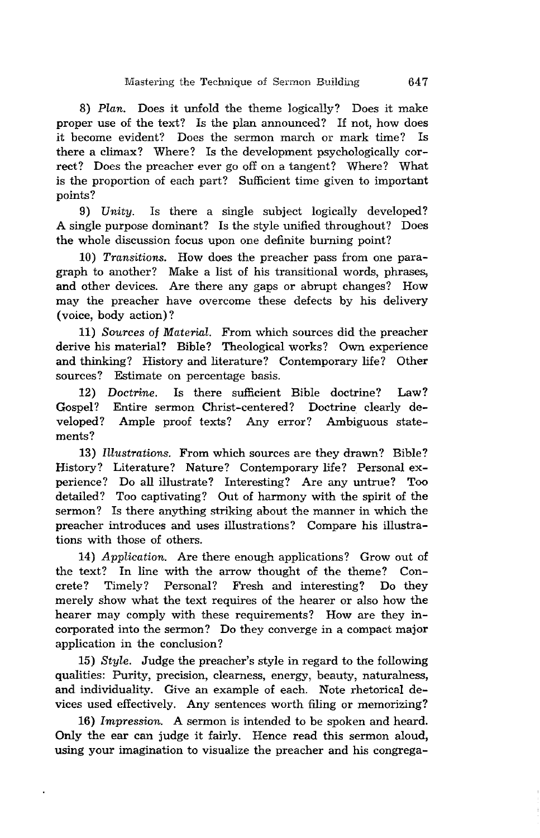*8) Plan.* Does it unfold the theme logically? Does it make proper use of the text? Is the plan announced? If not, how does *it* become evident? Does the sermon march or mark time? Is there a climax? Where? Is the development psychologically correct? Does the preacher ever go off on a tangent? Where? What is the proportion of each part? Sufficient time given to important points?

*9) Unity.* Is there a single subject logically developed? A single purpose dominant? Is the style unified throughout? Does the whole discussion focus upon one definite burning point?

10) *Transitions.* How does the preacher pass from one paragraph to another? Make a list of his transitional words, phrases, and other devices. Are there any gaps or abrupt changes? How may the preacher have overcome these defects by his delivery (voice, body action)?

11) *Sources* of *Material.* From which sources did the preacher derive his material? Bible? Theological works? Own experience and thinking? History and literature? Contemporary life? Other sources? Estimate on percentage basis.

*12) Doctrine.* Is there sufficient Bible doctrine? Law? Gospel? Entire sermon Christ-centered? Doctrine clearly developed? Ample proof texts? Any error? Ambiguous statements?

*13) Illustrations.* From which sources are they drawn? Bible? History? Literature? Nature? Contemporary life? Personal experience? Do all illustrate? Interesting? Are any untrue? Too detailed? Too captivating? Out of harmony with the spirit of the sermon? Is there anything striking about the manner in which the preacher introduces and uses illustrations? Compare his illustrations with those of others.

*14) Application.* Are there enough applications? Grow out of the text? In line with the arrow thought of the theme? Concrete? Timely? Personal? Fresh and interesting? Do they merely show what the text requires of the hearer or also how the hearer may comply with these requirements? How are they incorporated into the sermon? Do they converge in a compact major application in the conclusion?

*15) Style.* Judge the preacher's style in regard to the following qualities: Purity, precision, clearness, energy, beauty, naturalness, and individuality. Give an example of each. Note rhetorical devices used effectively. Any sentences worth filing or memorizing?

*16) Impression.* A sermon is intended to be spoken and heard. Only the ear can judge it fairly. Hence read this sermon aloud, using your imagination to visualize the preacher and his congrega-